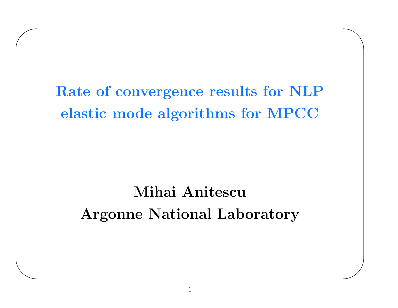# Rate of convergence results for NLP elastic mode algorithms for MPCC

 $\diagdown$ 

 $\bigg)$ 

 $\bigg($ 

 $\setminus$ 

# Mihai AnitescuArgonne National Laboratory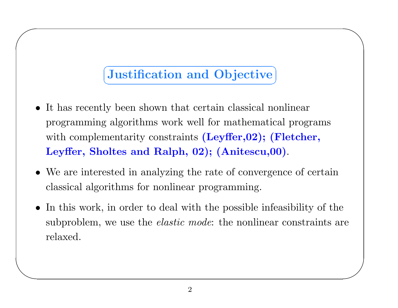#### Justification and Objective ✝✆

 $\diagdown$ 

 $\bigg)$ 

 $\bigg($ 

- It has recently been shown that certain classical nonlinear programming algorithms work well for mathematical programs with complementarity constraints  $(\text{Leyffer},02);$   $(\text{Fletcher},$ Leyffer, Sholtes and Ralph, 02); (Anitescu,00).
- We are interested in analyzing the rate of convergence of certain classical algorithms for nonlinear programming.
- In this work, in order to deal with the possible infeasibility of the subproblem, we use the *elastic mode*: the nonlinear constraints are relaxed.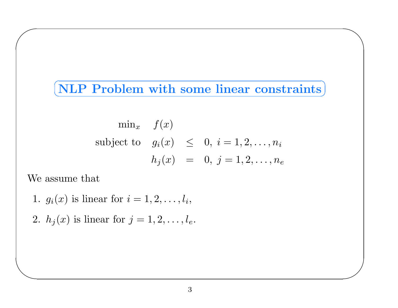# $\subset$  $(NLP$  Problem with some linear constraints

 $\diagup$ 

 $\bigg)$ 

$$
\min_{x} f(x)
$$
  
subject to  $g_i(x) \leq 0, i = 1, 2, ..., n_i$   

$$
h_j(x) = 0, j = 1, 2, ..., n_e
$$

We assume that

 $\bigg($ 

- 1.  $g_i(x)$  is linear for  $i = 1, 2, \ldots, l_i$ ,
- 2.  $h_j(x)$  is linear for  $j = 1, 2, \ldots, l_e$ .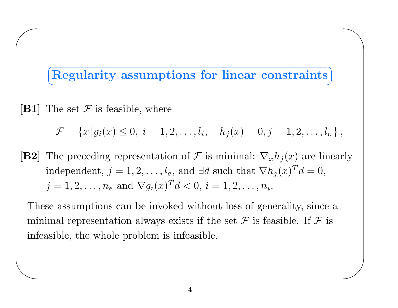### Regularity assumptions for linear constraints ✝✆

 $\diagup$ 

 $\bigg)$ 

[B1] The set  $\mathcal F$  is feasible, where

 $\bigg($ 

 $\setminus$ 

$$
\mathcal{F} = \{x \mid g_i(x) \leq 0, \ i = 1, 2, \dots, l_i, \quad h_j(x) = 0, j = 1, 2, \dots, l_e \},
$$

[B2] The preceding representation of F is minimal:  $\nabla_x h_j(x)$  are linearly independent,  $j = 1, 2, \ldots, l_e$ , and ∃d such that  $\nabla h_j(x)^T d = 0$ ,  $j = 1, 2, \ldots, n_e$  and  $\nabla g_i(x)^T d < 0, i = 1, 2, \ldots, n_i$ .

These assumptions can be invoked without loss of generality, since <sup>a</sup> minimal representation always exists if the set  $\mathcal F$  is feasible. If  $\mathcal F$  is infeasible, the whole problem is infeasible.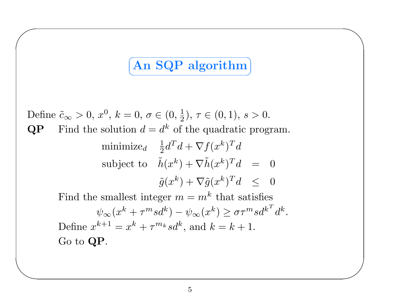#### ✞ ☎ An SQP algorithm ✝✆

 $\diagup$ 

 $\bigg)$ 

Define  $\tilde{c}_{\infty} > 0$ ,  $x^0$ ,  $k = 0$ ,  $\sigma \in (0, \frac{1}{2})$ ,  $\tau \in (0, 1)$ ,  $s > 0$ .  $QP$  Find the solution  $d = d^k$  of the quadratic program.  $\text{minimize}_{d} \quad \frac{1}{2} d^T d + \nabla f(x^k)^T d$ subject to  $-\tilde{h}$  $(x^k) + \nabla \tilde{h}(x^k)^T d = 0$  $\tilde{g}(x^k) + \nabla \tilde{g}(x^k)^T d \ \ \le \ \ 0$ Find the smallest integer  $m = m^k$  that satisfies  $\psi_{\infty}(x^k + \tau^m s d^k) - \psi_{\infty}(x^k) \geq \sigma \tau^m s d^{k^T} d^k.$ Define  $x^{k+1} = x^k + \tau^{m_k} s d^k$ , and  $k = k + 1$ .  ${\rm Go}$  to  ${\bf QP}.$ 

 $\bigg($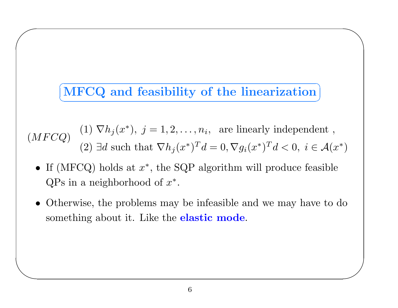# ✞ ☎ MF ✆ CQ and feasibility of the linearization ✝

 $\diagup$ 

 $\bigg)$ 

 $\bigg($ 

 $\setminus$ 

(MFCQ) (1)  $\nabla h_j(x^*), j = 1, 2, ..., n_i$ , are linearly independent,<br>(2) ∃d such that  $\nabla h_j(x^*)^T d = 0$ ,  $\nabla g_i(x^*)^T d < 0$ ,  $i \in \mathcal{A}(x^*)$ 

- If (MFCQ) holds at  $x^*$ , the SQP algorithm will produce feasible  $QPs$  in a neighborhood of  $x^*$ .
- Otherwise, the problems may be infeasible and we may have to do something about it. Like the **elastic mode**.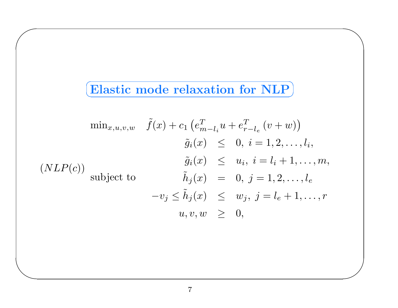# $\subset$  $\fbox{Elastic mode relaxation for NLP}\fbox{)}$

 $\diagup$ 

 $\bigg)$ 

 $\bigg($ 

$$
\min_{x,u,v,w} \quad \tilde{f}(x) + c_1 \left( e_{m-l_i}^T u + e_{r-l_e}^T (v+w) \right)
$$

$$
\tilde{g}_i(x) \leq 0, \ i = 1, 2, \dots, l_i,
$$

$$
\tilde{g}_i(x) \leq u_i, \ i = l_i + 1, \dots, m,
$$

$$
\tilde{h}_j(x) = 0, \ j = 1, 2, \dots, l_e
$$

$$
-v_j \leq \tilde{h}_j(x) \leq w_j, \ j = l_e + 1, \dots, r
$$

$$
u, v, w \geq 0,
$$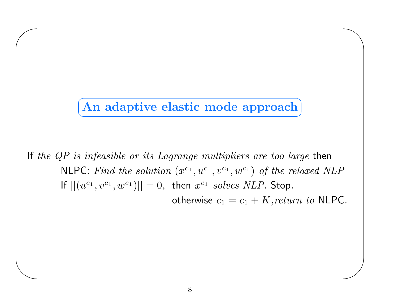#### $\subset$ ✝☎ ✆An adaptive elastic mode approach

 $\diagup$ 

 $\bigg)$ 

 $\bigg($ 

 $\setminus$ 

If *the QP is infeasible or its Lagrange multipliers are too large* then  $\textsf{NLPC:}\; Find\; the\; solution\; (x^{c_1},u^{c_1},v^{c_1},w^{c_1})\; of\; the\; relaxed\; NLP$ If  $||(u^{c_1},v^{c_1},w^{c_1})||=0,$  then  $x^{c_1}$   $solves~NLP.$  Stop. otherwise  $c_1 = c_1 + K, return \,\, to \,\, \textsf{NLPC}.$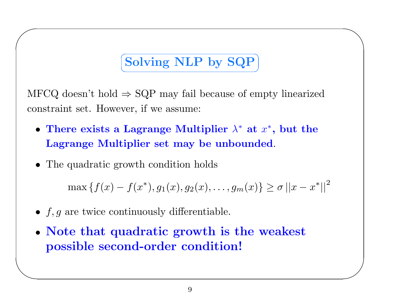#### $\subset$ ✝☎  $\begin{array}{c} {\bf Solving~NLP~by~SQP} \end{array}$

 $\diagup$ 

 $\bigg)$ 

MFCQ doesn't hold  $\Rightarrow$  SQP may fail because of empty linearized constraint set. However, if we assume:

- There exists a Lagrange Multiplier  $\lambda^*$  at  $x^*$ , but the Lagrange Multiplier set may be unbounded.
- The quadratic growth condition holds

 $\bigg($ 

 $\setminus$ 

 $\max\left\{f(x) - f(x^*), g_1(x), g_2(x), \ldots, g_m(x)\right\} \ge \sigma \left|\left| x - x^* \right|\right|^2$ 

- $f, g$  are twice continuously differentiable.
- Note that quadratic growth is the weakest possible second-order condition!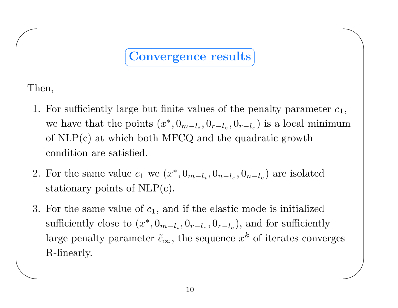# Convergence results ✆

✝

 $\diagup$ 

Then,

 $\bigg($ 

- 1. For sufficiently large but finite values of the penalty parameter  $c_1$ , we have that the points  $(x^*, 0_{m-l_i}, 0_{r-l_e}, 0_{r-l_e})$  is a local minimum of NLP(c) at which both MFCQ and the quadratic growth condition are satisfied.
- 2. For the same value  $c_1$  we  $(x^*, 0_{m-l_i}, 0_{n-l_e}, 0_{n-l_e})$  are isolated stationary points of NLP(c).
- $\setminus$  $\bigg)$ 3. For the same value of  $c_1$ , and if the elastic mode is initialized sufficiently close to  $(x^*, 0_{m-l_i}, 0_{r-l_e}, 0_{r-l_e})$ , and for sufficiently large penalty parameter  $\tilde{c}_{\infty}$ , the sequence  $x^k$  of iterates converges R-linearly.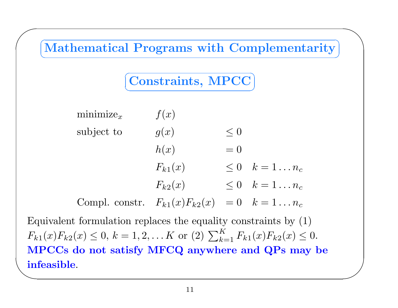

infeasible.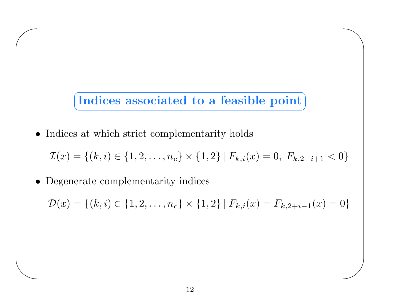Indices associated to a feasible point ✝✆  $\diagup$ 

 $\bigg)$ 

• Indices at which strict complementarity holds

$$
\mathcal{I}(x) = \{(k, i) \in \{1, 2, \dots, n_c\} \times \{1, 2\} \mid F_{k,i}(x) = 0, F_{k, 2-i+1} < 0\}
$$

• Degenerate complementarity indices

 $\bigg($ 

 $\setminus$ 

 $\mathcal{D}(x) = \{(k,i) \in \{1, 2, \ldots, n_c\} \times \{1, 2\} | F_{k,i}(x) = F_{k,2+i-1}(x) = 0\}$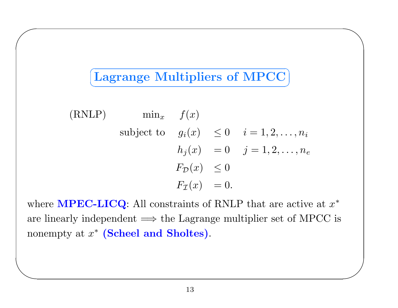### Lagrange Multipliers of MPCC ✝✆

 $\diagup$ 

 $\bigg)$ 

 $\bigg($ 

 $\setminus$ 

(RNLP) 
$$
\min_x
$$
  $f(x)$   
\nsubject to  $g_i(x) \le 0$   $i = 1, 2, ..., n_i$   
\n $h_j(x) = 0$   $j = 1, 2, ..., n_e$   
\n $F_{\mathcal{D}}(x) \le 0$   
\n $F_{\mathcal{I}}(x) = 0.$ 

where  $\textbf{MPEC-LICQ:}$  All constraints of RNLP that are active at  $x^*$ are linearly independent  $\implies$  the Lagrange multiplier set of MPCC is nonempty at  $x^*$  (Scheel and Sholtes).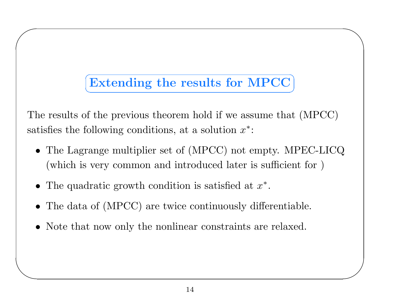### ✞ ☎ Extending the results for MPCC ✝✆

 $\diagup$ 

 $\bigg)$ 

The results of the previous theorem hold if we assume that (MPCC) satisfies the following conditions, at a solution  $x^*$ :

- The Lagrange multiplier set of (MPCC) not empty. MPEC-LICQ (which is very common and introduced later is sufficient for )
- The quadratic growth condition is satisfied at  $x^*$ .

 $\bigg($ 

- The data of (MPCC) are twice continuously differentiable.
- Note that now only the nonlinear constraints are relaxed.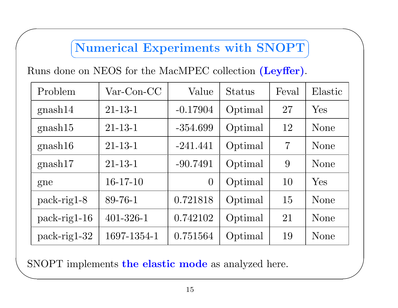#### $\subset$ ✝☎ ✆Numerical Experiments with SNOPT

 $\diagup$ 

 $\bigg)$ 

Runs done on NEOS for the MacMPEC collection (Leyffer).

 $\bigg($ 

| Problem        | $Var\text{-}\mathrm{Con}\text{-}\mathrm{CC}$ | Value          | <b>Status</b> | Feval          | Elastic |
|----------------|----------------------------------------------|----------------|---------------|----------------|---------|
| gnash14        | $21 - 13 - 1$                                | $-0.17904$     | Optimal       | 27             | Yes     |
| gnash15        | $21 - 13 - 1$                                | $-354.699$     | Optimal       | 12             | None    |
| gnash16        | $21 - 13 - 1$                                | $-241.441$     | Optimal       | $\overline{7}$ | None    |
| gnash17        | $21 - 13 - 1$                                | $-90.7491$     | Optimal       | 9              | None    |
| gne            | $16-17-10$                                   | $\overline{0}$ | Optimal       | 10             | Yes     |
| $pack-rig1-8$  | 89-76-1                                      | 0.721818       | Optimal       | 15             | None    |
| $pack-rig1-16$ | $401 - 326 - 1$                              | 0.742102       | Optimal       | 21             | None    |
| $pack-rig1-32$ | 1697-1354-1                                  | 0.751564       | Optimal       | 19             | None    |

SNOPT implements the elastic mode as analyzed here.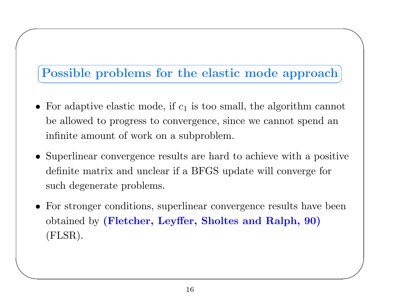#### ✞ ☎ Possible problems for the elastic mode approach ✝✆

 $\diagup$ 

 $\bigg)$ 

 $\bigg($ 

- For adaptive elastic mode, if  $c_1$  is too small, the algorithm cannot be allowed to progress to convergence, since we cannot spend an infinite amount of work on <sup>a</sup> subproblem.
- Superlinear convergence results are hard to achieve with <sup>a</sup> positive definite matrix and unclear if <sup>a</sup> BFGS update will converge for such degenerate problems.
- For stronger conditions, superlinear convergence results have been  $\rm obtained$  by (Fletcher, Leyffer, Sholtes and Ralph,  $90)$ (FLSR).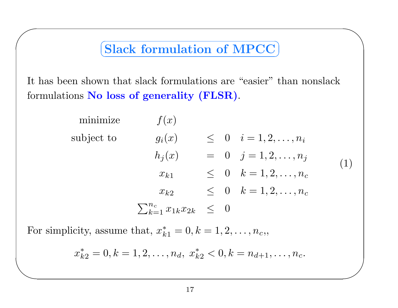# $\subset$  $\fbox{Slack formulation of MPC}$

 $\diagup$ 

 $\bigg)$ 

It has been shown that slack formulations are "easier" than nonslack formulations  $\bf{No}$  loss of generality (FLSR).

| minimize   | f(x)                                    |  |                                   |     |
|------------|-----------------------------------------|--|-----------------------------------|-----|
| subject to | $g_i(x)$                                |  | $\leq 0 \quad i=1,2,\ldots,n_i$   |     |
|            | $h_i(x)$                                |  | $= 0 \quad j = 1, 2, \ldots, n_j$ | (1) |
|            | $x_{k1}$                                |  | $\leq 0 \quad k=1,2,\ldots,n_c$   |     |
|            | $x_{k2}$                                |  | $\leq 0 \quad k=1,2,\ldots,n_c$   |     |
|            | $\sum_{k=1}^{n_c} x_{1k} x_{2k} \leq 0$ |  |                                   |     |

For simplicity, assume that,  $x_{k1}^* = 0, k = 1, 2, \ldots, n_c,$ 

 $\bigg($ 

$$
x_{k2}^* = 0, k = 1, 2, \dots, n_d, \ x_{k2}^* < 0, k = n_{d+1}, \dots, n_c.
$$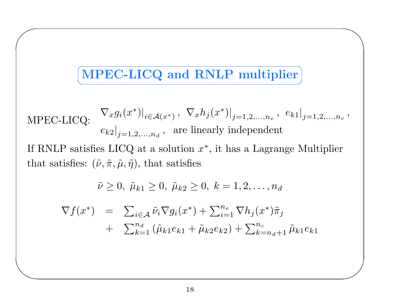# $\subset$  $\boxed{\text{MPEC-LICQ}}$  and RNLP multiplier

 $\diagup$ 

 $\bigg)$ 

 $\bigg($ 

 $\setminus$ 

$$
\text{MPEC-LICQ:} \quad \nabla_x g_i(x^*)|_{i \in \mathcal{A}(x^*)}, \ \nabla_x h_j(x^*)|_{j=1,2,\dots,n_e}, \ e_{k1}|_{j=1,2,\dots,n_c},
$$
\n
$$
e_{k2}|_{j=1,2,\dots,n_d}, \text{ are linearly independent}
$$

If RNLP satisfies LICQ at a solution  $x^*$ , it has a Lagrange Multiplier that satisfies:  $(\tilde{\nu}, \tilde{\pi}, \tilde{\mu}, \tilde{\eta})$ , that satisfies

$$
\tilde{\nu} \ge 0, \ \tilde{\mu}_{k1} \ge 0, \ \tilde{\mu}_{k2} \ge 0, \ k = 1, 2, \ldots, n_d
$$

$$
\nabla f(x^*) = \sum_{i \in \mathcal{A}} \tilde{\nu}_i \nabla g_i(x^*) + \sum_{i=1}^{n_e} \nabla h_j(x^*) \tilde{\pi}_j \n+ \sum_{k=1}^{n_d} (\tilde{\mu}_{k1} e_{k1} + \tilde{\mu}_{k2} e_{k2}) + \sum_{k=n_d+1}^{n_c} \tilde{\mu}_{k1} e_{k1}
$$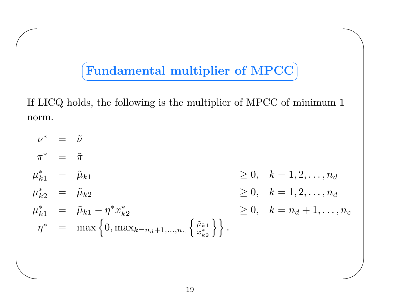#### ✞ ☎ Fundamental multiplier of MPCC ✝✆

 $\diagup$ 

 $\bigg)$ 

 $\bigg($ 

 $\setminus$ 

If LICQ holds, the following is the multiplier of MPCC of minimum 1 norm.

 $\nu^*$  =  $\tilde{\nu}$  $\pi^*$  =  $\tilde{\pi}$  $\mu_{k1}^*$  =  $\tilde{\mu}_{k1}$  $\ge 0, \quad k = 1, 2, \ldots, n_d$  $\mu_{k2}^*$  =  $\tilde{\mu}_{k2}$  $\geq 0, \quad k=1, 2, \ldots, n_d$  $\mu_{k1}^* = \tilde{\mu}_{k1} - \eta^* x_{k2}^*$  $\geq 0, \quad k = n_d + 1, \ldots, n_c$  $\eta^* = \max \left\{ 0, \max_{k=n_d+1,...,n_c} \left\{ \frac{\tilde{\mu}_{k1}}{x_{k2}^*} \right\} \right\}.$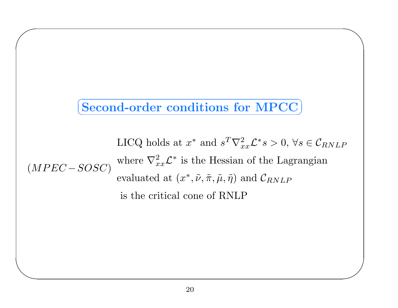# $\subset$  $\fbox{Second-order conditions for MPC}$

 $\diagup$ 

 $\bigg)$ 

 $\bigg($ 

 $\setminus$ 

 $(MPEC - SOSC)$ LICQ holds at  $x^*$  and  $s^T \nabla_{xx}^2 \mathcal{L}^* s > 0$ ,  $\forall s \in \mathcal{C}_{RNLP}$ where  $\nabla_{xx}^2 \mathcal{L}^*$  is the Hessian of the Lagrangian evaluated at  $(x^*, \tilde{\nu}, \tilde{\pi}, \tilde{\mu}, \tilde{\eta})$  and  $\mathcal{C}_{RNLP}$ is the critical cone of RNLP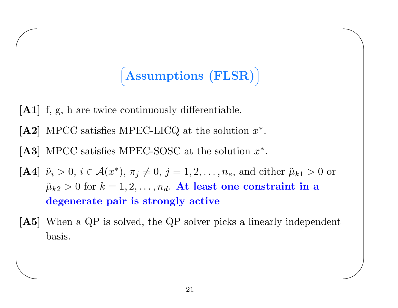#### $\subset$ ✝☎ ✆Assumptions (FLSR)

 $\diagup$ 

 $\bigg)$ 

[A1] f, g, h are twice continuously differentiable.

 $\bigg($ 

- [A2] MPCC satisfies MPEC-LICQ at the solution  $x^*$ .
- [A3] MPCC satisfies MPEC-SOSC at the solution  $x^*$ .
- [A4]  $\tilde{\nu}_i > 0$ ,  $i \in \mathcal{A}(x^*)$ ,  $\pi_j \neq 0$ ,  $j = 1, 2, \ldots, n_e$ , and either  $\tilde{\mu}_{k1} > 0$  or  $\tilde{\mu}$  $\tilde{\mu}_{k2} > 0$  for  $k = 1, 2, \ldots, n_d.$  At least one constraint in a degenerate pair is strongly active
- [A5] When a QP is solved, the QP solver picks a linearly independent basis.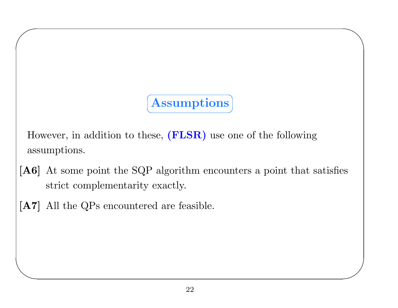# ☎  $\begin{array}{c}\textbf{Assumptions}\end{array}$

 $\diagup$ 

 $\bigg)$ 

However, in addition to these, (FLSR) use one of the following assumptions.

 $\subset$ 

✝

- [A6] At some point the SQP algorithm encounters a point that satisfies strict complementarity exactly.
- [A7] All the QPs encountered are feasible.

 $\bigg($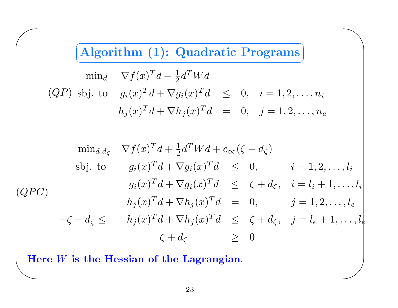$\subset$ ✝☎ ✆ Algorithm (1): Quadratic Programs  $\diagup$ 

 $\bigg)$ 

$$
\min_{d} \quad \nabla f(x)^T d + \frac{1}{2} d^T W d
$$
\n
$$
(QP) \text{ sbj. to } g_i(x)^T d + \nabla g_i(x)^T d \leq 0, \quad i = 1, 2, \dots, n_i
$$
\n
$$
h_j(x)^T d + \nabla h_j(x)^T d = 0, \quad j = 1, 2, \dots, n_e
$$

$$
\min_{d,d_{\zeta}} \nabla f(x)^{T} d + \frac{1}{2} d^{T} W d + c_{\infty} (\zeta + d_{\zeta})
$$
\n
$$
\text{sbj. to} \n\begin{aligned}\n& g_{i}(x)^{T} d + \nabla g_{i}(x)^{T} d &\leq 0, \quad i = 1, 2, \dots, l_{i} \\
& g_{i}(x)^{T} d + \nabla g_{i}(x)^{T} d &\leq \zeta + d_{\zeta}, \quad i = l_{i} + 1, \dots, l_{i} \\
& h_{j}(x)^{T} d + \nabla h_{j}(x)^{T} d &= 0, \quad j = 1, 2, \dots, l_{e} \\
& -\zeta - d_{\zeta} &\leq h_{j}(x)^{T} d + \nabla h_{j}(x)^{T} d &\leq \zeta + d_{\zeta}, \quad j = l_{e} + 1, \dots, l_{e} \\
& \zeta + d_{\zeta} &\geq 0\n\end{aligned}
$$

 $\setlength{\abovedisplayskip}{12pt} \setlength{\belowdisplayskip}{12pt} \setlength{\belowdisplayskip}{12pt} \setlength{\belowdisplayskip}{12pt} \setlength{\belowdisplayskip}{12pt} \begin{tabular}{|c|c|} Here $W$ is the Hessian of the Lagrangian.} \end{tabular}$ 

 $\bigg($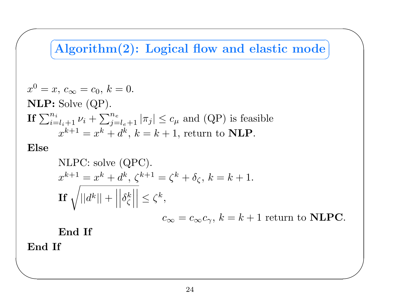#### $\subset$ ✝☎ ✆ Algorithm(2): Logical flow and elastic mode

 $\diagup$ 

 $\bigg)$ 

$$
x^{0} = x, c_{\infty} = c_{0}, k = 0.
$$
  
\n**NLP:** Solve (QP).  
\n**If**  $\sum_{i=l_{i}+1}^{n_{i}} \nu_{i} + \sum_{j=l_{e}+1}^{n_{e}} |\pi_{j}| \leq c_{\mu}$  and (QP) is feasible  
\n
$$
x^{k+1} = x^{k} + d^{k}, k = k + 1
$$
, return to **NLP**.

# Else

 $\bigg($ 

NLPC: solve (QPC).  
\n
$$
x^{k+1} = x^k + d^k, \zeta^{k+1} = \zeta^k + \delta_{\zeta}, k = k + 1.
$$
\nIf  $\sqrt{||d^k|| + ||\delta_{\zeta}^k||} \le \zeta^k$ ,  
\n
$$
c_{\infty} = c_{\infty} c_{\gamma}, k = k + 1 \text{ return to NLPC.}
$$

End If

End If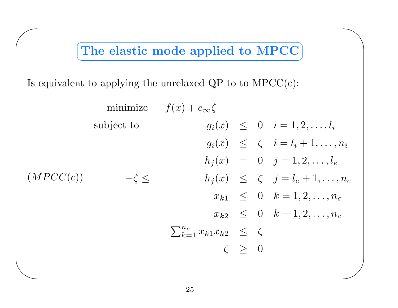The elastic mode applied to MPCC ✝✆  $\diagup$ 

Is equivalent to applying the unrelaxed  $\text{QP}$  to to  $\text{MPCC}(\text{c})$ :

 $\bigg($ 

 $\setminus$  $\bigg)$  $(MPCC(c))$ minimize  $f(x) + c_\infty \zeta$ subject to  $-\zeta \leq$  $g_i(x) \leq 0 \quad i = 1, 2, \ldots, l_i$  $g_i(x) \leq \zeta \quad i = l_i + 1, \ldots, n_i$  $h_j(x) = 0 \quad j = 1, 2, \ldots, l_e$  $h_j(x) \leq \zeta \quad j = l_e + 1, \ldots, n_e$  $x_{k1} \leq 0 \quad k=1,2,\ldots,n_c$  $x_{k2} \quad\leq\quad 0 \quad k=1,2,\ldots,n_c$  $\sum_{k=1}^{n_c} x_{k1}x_{k2} \leq \zeta$  $\zeta \geq 0$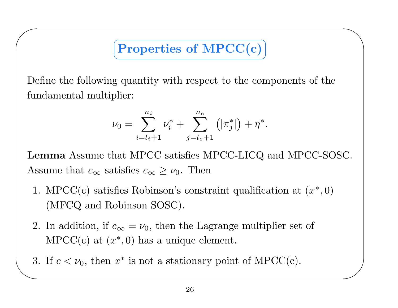#### Properties of MPCC(c) ✝☎ ✆

 $\diagup$ 

 $\bigg)$ 

Define the following quantity with respect to the components of the fundamental multiplier:

 $\bigg($ 

$$
\nu_0 = \sum_{i=l_i+1}^{n_i} \nu_i^* + \sum_{j=l_e+1}^{n_e} (|\pi_j^*|) + \eta^*.
$$

Lemma Assume that MPCC satisfies MPCC-LICQ and MPCC-SOSC. Assume that  $c_{\infty}$  satisfies  $c_{\infty} \geq \nu_0$ . Then

- 1. MPCC(c) satisfies Robinson's constraint qualification at  $(x^*,0)$ (MFCQ and Robinson SOSC).
- 2. In addition, if  $c_{\infty} = \nu_0$ , then the Lagrange multiplier set of MPCC(c) at  $(x^*,0)$  has a unique element.
- 3. If  $c < \nu_0$ , then  $x^*$  is not a stationary point of MPCC(c).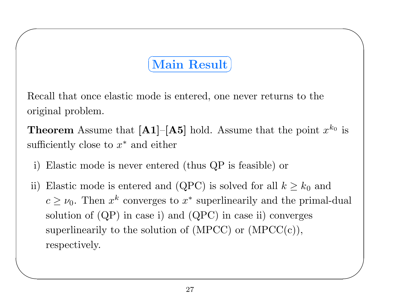# $\subset$  $\fbox{Main Result} \big\}$

 $\diagup$ 

 $\bigg)$ 

Recall that once elastic mode is entered, one never returns to the original problem.

**Theorem** Assume that  $[A1]$ – $[A5]$  hold. Assume that the point  $x^{k_0}$  is sufficiently close to  $x^*$  and either

i) Elastic mode is never entered (thus QP is feasible) or

 $\bigg($ 

 $\setminus$ 

ii) Elastic mode is entered and (QPC) is solved for all  $k \geq k_0$  and  $c \geq \nu_0$ . Then  $x^k$  converges to  $x^*$  superlinearily and the primal-dual solution of (QP) in case i) and (QPC) in case ii) converges superlinearily to the solution of  $(MPCC)$  or  $(MPCC(c))$ , respectively.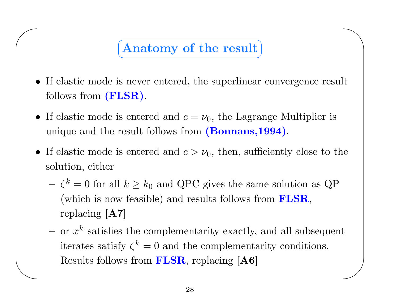#### Anatomy of the result ✝✆

 $\diagup$ 

 $\bigg($ 

- If elastic mode is never entered, the superlinear convergence result follows from  $(\rm{FLSR})$ .
- If elastic mode is entered and  $c = \nu_0$ , the Lagrange Multiplier is unique and the result follows from (Bonnans, 1994).
- If elastic mode is entered and  $c > \nu_0$ , then, sufficiently close to the solution, either
	- $\zeta^k = 0$  for all  $k \geq k_0$  and QPC gives the same solution as QP (which is now feasible) and results follows from FLSR, replacing [A7]
	- $\bigg)$  $-$  or  $x^k$  satisfies the complementarity exactly, and all subsequent iterates satisfy  $\zeta^k = 0$  and the complementarity conditions. Results follows from  $\textbf{FLSR}$ , replacing  $\textbf{[A6]}$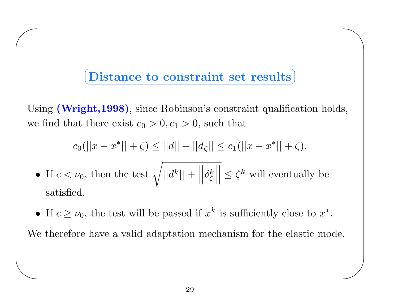# $\subset$  $(Distance to constraint set results)$

 $\diagup$ 

 $\bigg)$ 

 $\bigg($ 

 $\setminus$ 

Using (Wright, 1998), since Robinson's constraint qualification holds, we find that there exist  $c_0 > 0, c_1 > 0$ , such that

$$
c_0(||x - x^*|| + \zeta) \le ||d|| + ||d_{\zeta}|| \le c_1(||x - x^*|| + \zeta).
$$

- •• If  $c < \nu_0$ , then the test  $\sqrt{||d^k|| + ||\delta_{\zeta}^k||} \leq \zeta^k$  will eventually be  $\rm satisfied.$
- If  $c \geq \nu_0$ , the test will be passed if  $x^k$  is sufficiently close to  $x^*$ .

We therefore have <sup>a</sup> valid adaptation mechanism for the elastic mode.